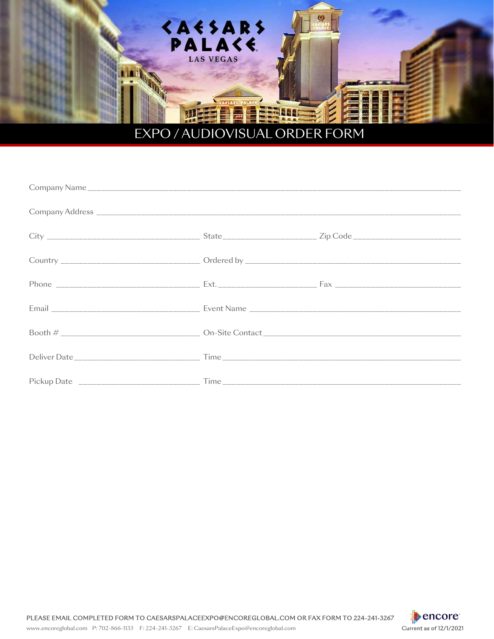

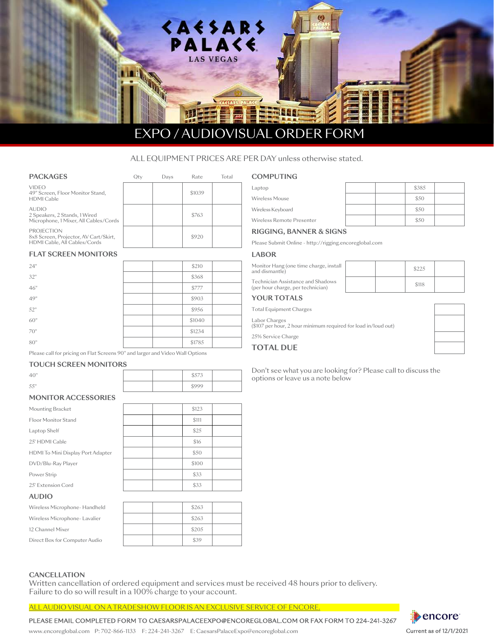

# EXPO / AUDIOVISUAL ORDER FORM

# ALL EQUIPMENT PRICES ARE PER DAY unless otherwise stated.

| PACKAGES                                                                                   | Ot۱ | Davs | Rate   | Total |
|--------------------------------------------------------------------------------------------|-----|------|--------|-------|
| <b>VIDEO</b><br>49" Screen, Floor Monitor Stand,<br><b>HDMI</b> Cable                      |     |      | \$1039 |       |
| <b>AUDIO</b><br>2 Speakers, 2 Stands, 1 Wired<br>Microphone, 1 Mixer, All Cables/Cords     |     |      | \$763  |       |
| <b>PROJECTION</b><br>8x8 Screen, Projector, AV Cart/Skirt,<br>HDMI Cable, All Cables/Cords |     |      | \$920  |       |

# **FLAT SCREEN MONITORS**

| 24" |  | \$210  |  |
|-----|--|--------|--|
| 32" |  | \$368  |  |
| 46" |  | \$777  |  |
| 49" |  | \$903  |  |
| 52" |  | \$956  |  |
| 60" |  | \$1040 |  |
| 70" |  | \$1234 |  |
| 80" |  | \$1785 |  |

Please call for pricing on Flat Screens 90" and larger and Video Wall Options

#### **TOUCH SCREEN MONITORS**

| $\Delta \Omega$ " |  | $A = 0$<br>997 P |
|-------------------|--|------------------|

55" | \$999

### **MONITOR ACCESSORIES**

| Mounting Bracket                  |  | \$123 |  |
|-----------------------------------|--|-------|--|
| <b>Eloor Monitor Stand</b>        |  | \$111 |  |
| Laptop Shelf                      |  | \$25  |  |
| 25' HDMI Cable                    |  | \$16  |  |
| HDMI To Mini Display Port Adapter |  | \$50  |  |
| DVD/Blu-Ray Player                |  | \$100 |  |
| Power Strip                       |  | \$33  |  |
| 25' Extension Cord                |  | \$33  |  |
| $\lambda$ in $\Omega$             |  |       |  |

#### **AUDIO**

| Wireless Microphone-Handheld  |  | \$263 |  |
|-------------------------------|--|-------|--|
| Wireless Microphone-Lavalier  |  | \$263 |  |
| 12 Channel Mixer              |  | \$205 |  |
| Direct Box for Computer Audio |  | \$39  |  |

### **CANCELLATION**

Written cancellation of ordered equipment and services must be received 48 hours prior to delivery. Failure to do so will result in a 100% charge to your account.

ALL AUDIO VISUAL ON A TRADESHOW FLOOR IS AN EXCLUSIVE SERVICE OF ENCORE.

PLEASE EMAIL COMPLETED FORM TO [CAESARSPA](mailto:CAESARS%40ENCOREGLOBAL.COM?subject=)LACEEXPO@ENCOREGLOBAL.COM OR FAX FORM TO 224-241-3267

|  | \$385 |  |
|--|-------|--|
|  | \$50  |  |
|  | \$50  |  |
|  | \$50  |  |

### **RIGGING, BANNER & SIGNS**

Please Submit Online - http://rigging.encoreglobal.com

#### **LABOR**

Laptop Wireless Mouse Wireless Keyboard Wireless Remote Presenter

| Monitor Hang (one time charge, install<br>and dismantle)               |  | \$225 |  |
|------------------------------------------------------------------------|--|-------|--|
| Technician Assistance and Shadows<br>(per hour charge, per technician) |  | \$118 |  |
| $\sqrt{2}$ in $\pm$ $\sim$ $\pm$ $\sim$ $\pm$ $\sim$                   |  |       |  |

## **YOUR TOTALS**

**COMPUTING**

Total Equipment Charges

Labor Charges (\$107 per hour, 2 hour minimum required for load in/loud out)

25% Service Charge

# **TOTAL DUE**

Don't see what you are looking for? Please call to discuss the options or leave us a note below

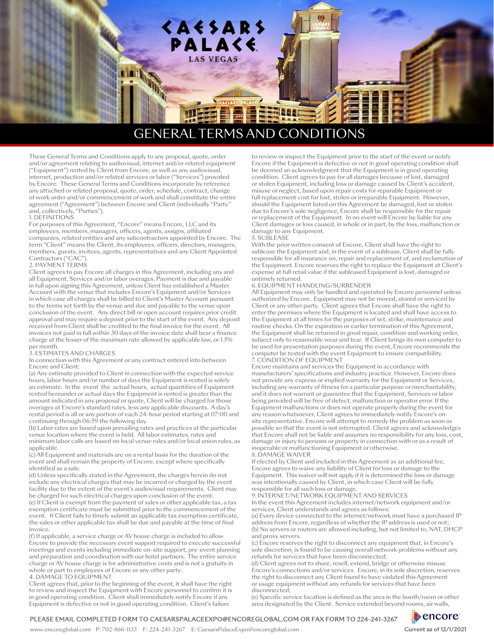

# GENERAL TERMS AND CONDITIONS

These General Terms and Conditions apply to any proposal, quote, order and/or agreement relating to audiovisual, internet and/or related equipment ("Equipment") rented by Client from Encore, as well as any audiovisual, internet, production and/or related services or labor ("Services") provided by Encore. These General Terms and Conditions incorporate by reference any attached or related proposal, quote, order, schedule, contract, change of work order and/or commencement of work and shall constitute the entire agreement ("Agreement") between Encore and Client (individually "Party and, collectively, "Parties").

#### 1. DEFINITIONS

For purposes of this Agreement, "Encore" means Encore, LLC and its employees, members, managers, officers, agents, assigns, affiliated companies, related entities and any subcontractors appointed by Encore. The term "Client" means the Client, its employees, officers, directors, managers, members, guests, invitees, agents, representatives and any Client Appointed Contractors ("CAC").

#### 2. PAYMENT TERMS

Client agrees to pay Encore all charges in this Agreement, including any and all Equipment, Services and/or labor overages. Payment is due and payable in full upon signing this Agreement, unless Client has established a Master Account with the venue that includes Encore's Equipment and/or Services in which case all charges shall be billed to Client's Master Account pursuant to the terms set forth by the venue and due and payable to the venue upon conclusion of the event. Any direct bill or open account requires prior credit approval and may require a deposit prior to the start of the event. Any deposit received from Client shall be credited to the final invoice for the event. All invoices not paid in full within 30 days of the invoice date shall bear a finance charge at the lesser of the maximum rate allowed by applicable law, or 1.5% per month.

#### 3. ESTIMATES AND CHARGES

In connection with this Agreement or any contract entered into between Encore and Client:

(a) Any estimate provided to Client in connection with the expected service hours, labor hours and/or number of days the Equipment is rented is solely an estimate. In the event the actual hours, actual quantities of Equipment rented hereunder or actual days the Equipment is rented is greater than the amount indicated in any proposal or quote, Client will be charged for those overages at Encore's standard rates, less any applicable discounts. A day's rental period is all or any portion of each 24-hour period starting at 07:00 and continuing through 06:59 the following day.

(b) Labor rates are based upon prevailing rates and practices at the particular venue location where the event is held. All labor estimates, rates and minimum labor calls are based on local venue rules and/or local union rules, as applicable.

(c) All Equipment and materials are on a rental basis for the duration of the event and shall remain the property of Encore, except where specifically identified as a sale.

(d) Unless specifically stated in the Agreement, the charges herein do not include any electrical charges that may be incurred or charged by the event facility due to the extent of the event's audiovisual requirements. Client may be charged for such electrical charges upon conclusion of the event.

(e) If Client is exempt from the payment of sales or other applicable tax, a tax exemption certificate must be submitted prior to the commencement of the event. If Client fails to timely submit an applicable tax exemption certificate, the sales or other applicable tax shall be due and payable at the time of final invoice.

(f) If applicable, a service charge or AV house charge is included to allow Encore to provide the necessary event support required to execute successful meetings and events including immediate on-site support, pre-event planning and preparation and coordination with our hotel partners. The entire service charge or AV house charge is for administrative costs and is not a gratuity in whole or part to employees of Encore or any other party.

#### 4. DAMAGE TO EQUIPMENT

Client agrees that, prior to the beginning of the event, it shall have the right to review and inspect the Equipment with Encore personnel to confirm it is in good operating condition. Client shall immediately notify Encore if any Equipment is defective or not in good operating condition. Client's failure

to review or inspect the Equipment prior to the start of the event or notify Encore if the Equipment is defective or not in good operating condition shall be deemed an acknowledgment that the Equipment is in good operating condition. Client agrees to pay for all damages because of lost, damaged or stolen Equipment, including loss or damage caused by Client's accident, misuse or neglect, based upon repair costs for reparable Equipment or full replacement cost for lost, stolen or irreparable Equipment. However, should the Equipment listed on this Agreement be damaged, lost or stolen due to Encore's sole negligence, Encore shall be responsible for the repair or replacement of the Equipment. In no event will Encore be liable for any Client damages or loss caused, in whole or in part, by the loss, malfunction or damage to any Equipment.

#### 5. SUBLEASE

With the prior written consent of Encore, Client shall have the right to sublease the Equipment and, in the event of a sublease, Client shall be fully responsible for all insurance on, repair and replacement of, and reclamation of the Equipment. Encore reserves the right to replace the Equipment at Client's expense at full retail value if the subleased Equipment is lost, damaged or untimely returned.

#### 6. EQUIPMENT HANDLING/SURRENDER

All Equipment may only be handled and operated by Encore personnel unless authorized by Encore. Equipment may not be moved, stored or serviced by Client or any other party. Client agrees that Encore shall have the right to enter the premises where the Equipment is located and shall have access to the Equipment at all times for the purposes of set, strike, maintenance and routine checks. On the expiration or earlier termination of this Agreement, the Equipment shall be returned in good repair, condition and working order, subject only to reasonable wear and tear. If Client brings its own computer to be used for presentation purposes during the event, Encore recommends the computer be tested with the event Equipment to ensure compatibility. 7. CONDITION OF EQUIPMENT

Encore maintains and services the Equipment in accordance with manufacturers' specifications and industry practice. However, Encore does not provide any express or implied warranty for the Equipment or Services, including any warranty of fitness for a particular purpose or merchantability, and it does not warrant or guarantee that the Equipment, Services or labor being provided will be free of defect, malfunction or operator error. If the Equipment malfunctions or does not operate properly during the event for any reason whatsoever, Client agrees to immediately notify Encore's onsite representative. Encore will attempt to remedy the problem as soon as possible so that the event is not interrupted. Client agrees and acknowledges that Encore shall not be liable and assumes no responsibility for any loss, cost, damage or injury to persons or property in connection with or as a result of inoperable or malfunctioning Equipment or otherwise.

#### 8. DAMAGE WAIVER

If elected by Client and included in this Agreement as an additional fee, Encore agrees to waive any liability of Client for loss or damage to the Equipment. This waiver will not apply if it is determined the loss or damage was intentionally caused by Client, in which case Client will be fully responsible for all such loss or damage.

### 9. INTERNET/NETWORK EQUIPMENT AND SERVICES

In the event this Agreement includes internet/network equipment and/or services, Client understands and agrees as follows:

(a) Every device connected to the internet/network must have a purchased IP address from Encore, regardless of whether the IP address is used or not; (b) No servers or routers are allowed including, but not limited to, NAT, DHCP and proxy servers.

(c) Encore reserves the right to disconnect any equipment that, in Encore's sole discretion, is found to be causing overall network problems without any refunds for services that have been disconnected;

(d) Client agrees not to share, resell, extend, bridge or otherwise misuse Encore's connections and/or services. Encore, in its sole discretion, reserves the right to disconnect any Client found to have violated this Agreement or usage equipment without any refunds for services that have been disconnected;

(e) Specific service location is defined as the area in the booth/room or other area designated by the Client. Service extended beyond rooms, air walls,

#### PLEASE EMAIL COMPLETED FORM TO [CAESARSPA](mailto:CAESARS%40ENCOREGLOBAL.COM?subject=)LACEEXPO@ENCOREGLOBAL.COM OR FAX FORM TO 224-241-3267

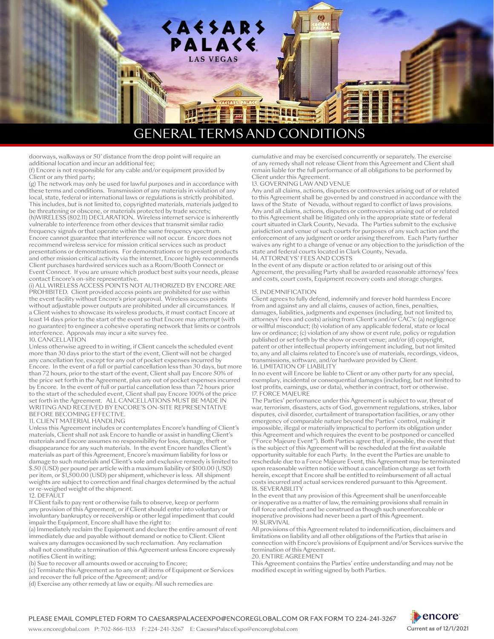

# GENERAL TERMS AND CONDITIONS

doorways, walkways or 50' distance from the drop point will require an additional location and incur an additional fee;

(f) Encore is not responsible for any cable and/or equipment provided by Client or any third party;

(g) The network may only be used for lawful purposes and in accordance with these terms and conditions. Transmission of any materials in violation of any local, state, federal or international laws or regulations is strictly prohibited. This includes, but is not limited to, copyrighted materials, materials judged to

be threatening or obscene, or materials protected by trade secrets; (h)WIRELESS (802.11) DECLARATION. Wireless internet service is inherently vulnerable to interference from other devices that transmit similar radio frequency signals or that operate within the same frequency spectrum. Encore cannot guarantee that interference will not occur. Encore does not recommend wireless service for mission critical services such as product presentations or demonstrations. For demonstrations or to present products and other mission critical activity via the internet, Encore highly recommends Client purchases hardwired services such as a Room/Booth Connect or Event Connect. If you are unsure which product best suits your needs, please contact Encore's on-site representative.

(i) ALL WIRELESS ACCESS POINTS NOT AUTHORIZED BY ENCORE ARE PROHIBITED. Client provided access points are prohibited for use within the event facility without Encore's prior approval. Wireless access points without adjustable power outputs are prohibited under all circumstances. If a Client wishes to showcase its wireless products, it must contact Encore at least 14 days prior to the start of the event so that Encore may attempt (with no guarantee) to engineer a cohesive operating network that limits or controls interference. Approvals may incur a site survey fee. 10. CANCELLATION

Unless otherwise agreed to in writing, if Client cancels the scheduled event more than 30 days prior to the start of the event, Client will not be charged any cancellation fee, except for any out of pocket expenses incurred by Encore. In the event of a full or partial cancellation less than 30 days, but more than 72 hours, prior to the start of the event, Client shall pay Encore 50% of the price set forth in the Agreement, plus any out of pocket expenses incurred by Encore. In the event of full or partial cancellation less than 72 hours prior to the start of the scheduled event, Client shall pay Encore 100% of the price set forth in the Agreement. ALL CANCELLATIONS MUST BE MADE IN WRITING AND RECEIVED BY ENCORE'S ON-SITE REPRESENTATIVE BEFORE BECOMING EFFECTIVE.

#### 11. CLIENT MATERIAL HANDLING

Unless this Agreement includes or contemplates Encore's handling of Client's materials, Client shall not ask Encore to handle or assist in handling Client's materials and Encore assumes no responsibility for loss, damage, theft or disappearance for any such materials. In the event Encore handles Client's materials as part of this Agreement, Encore's maximum liability for loss or damage to such materials and Client's sole and exclusive remedy is limited to \$.50 (USD) per pound per article with a maximum liability of \$100.00 (USD) per item, or \$1,500.00 (USD) per shipment, whichever is less. All shipment weights are subject to correction and final charges determined by the actual or re-weighed weight of the shipment.

#### 12. DEFAULT

If Client fails to pay rent or otherwise fails to observe, keep or perform any provision of this Agreement, or if Client should enter into voluntary or involuntary bankruptcy or receivership or other legal impediment that could impair the Equipment, Encore shall have the right to:

(a) Immediately reclaim the Equipment and declare the entire amount of rent immediately due and payable without demand or notice to Client. Client waives any damages occasioned by such reclamation. Any reclamation shall not constitute a termination of this Agreement unless Encore expressly notifies Client in writing;

(b) Sue to recover all amounts owed or accruing to Encore;

(c) Terminate this Agreement as to any or all items of Equipment or Services and recover the full price of the Agreement; and/or

(d) Exercise any other remedy at law or equity. All such remedies are

cumulative and may be exercised concurrently or separately. The exercise of any remedy shall not release Client from this Agreement and Client shall remain liable for the full performance of all obligations to be performed by Client under this Agreement.

#### 13. GOVERNING LAW AND VENUE

Any and all claims, actions, disputes or controversies arising out of or related to this Agreement shall be governed by and construed in accordance with the laws of the State of Nevada, without regard to conflict of laws provisions. Any and all claims, actions, disputes or controversies arising out of or related to this Agreement shall be litigated only in the appropriate state or federal court situated in Clark County, Nevada. The Parties submit to the exclusive jurisdiction and venue of such courts for purposes of any such action and the enforcement of any judgment or order arising therefrom. Each Party further waives any right to a change of venue or any objection to the jurisdiction of the state and federal courts located in Clark County, Nevada. 14. ATTORNEYS' FEES AND COSTS

In the event of any dispute or action related to or arising out of this Agreement, the prevailing Party shall be awarded reasonable attorneys' fees and costs, court costs, Equipment recovery costs and storage charges.

#### 15. INDEMNIFICATION

Client agrees to fully defend, indemnify and forever hold harmless Encore from and against any and all claims, causes of action, fines, penalties, damages, liabilities, judgments and expenses (including, but not limited to, attorneys' fees and costs) arising from Client's and/or CAC's: (a) negligence or willful misconduct; (b) violation of any applicable federal, state or local law or ordinance; (c) violation of any show or event rule, policy or regulation published or set forth by the show or event venue; and/or (d) copyright, patent or other intellectual property infringement including, but not limited to, any and all claims related to Encore's use of materials, recordings, videos, transmissions, software, and/or hardware provided by Client. 16. LIMITATION OF LIABILITY

In no event will Encore be liable to Client or any other party for any special, exemplary, incidental or consequential damages (including, but not limited to lost profits, earnings, use or data), whether in contract, tort or otherwise. 17. FORCE MAJEURE

The Parties' performance under this Agreement is subject to war, threat of war, terrorism, disasters, acts of God, government regulations, strikes, labor disputes, civil disorder, curtailment of transportation facilities, or any other emergency of comparable nature beyond the Parties' control, making it impossible, illegal or materially impractical to perform its obligation under this Agreement and which requires the event to be postponed or cancelled ("Force Majeure Event"). Both Parties agree that, if possible, the event that is the subject of this Agreement will be rescheduled at the first available opportunity suitable for each Party. In the event the Parties are unable to reschedule due to a Force Majeure Event, this Agreement may be terminated upon reasonable written notice without a cancellation charge as set forth herein, except that Encore shall be entitled to reimbursement of all actual costs incurred and actual services rendered pursuant to this Agreement. 18. SEVERABILITY

In the event that any provision of this Agreement shall be unenforceable or inoperative as a matter of law, the remaining provisions shall remain in full force and effect and be construed as though such unenforceable or inoperative provisions had never been a part of this Agreement. 19. SURVIVAL

All provisions of this Agreement related to indemnification, disclaimers and limitations on liability and all other obligations of the Parties that arise in connection with Encore's provisions of Equipment and/or Services survive the termination of this Agreement.

20. ENTIRE AGREEMENT

This Agreement contains the Parties' entire understanding and may not be modified except in writing signed by both Parties.